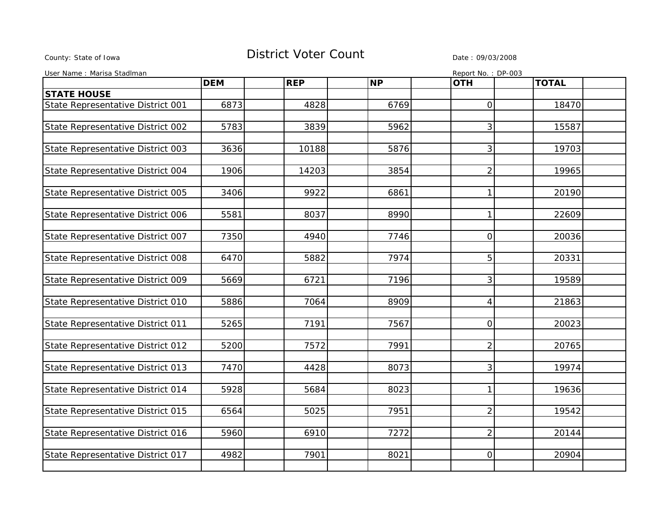## County: State of Iowa **District Voter Count** Description Design Description Description Date : 09/03/2008

| User Name: Marisa Stadlman        |            |            |           |                | Report No.: DP-003 |  |
|-----------------------------------|------------|------------|-----------|----------------|--------------------|--|
|                                   | <b>DEM</b> | <b>REP</b> | <b>NP</b> | <b>OTH</b>     | <b>TOTAL</b>       |  |
| <b>STATE HOUSE</b>                |            |            |           |                |                    |  |
| State Representative District 001 | 6873       | 4828       | 6769      | 0              | 18470              |  |
|                                   |            |            |           |                |                    |  |
| State Representative District 002 | 5783       | 3839       | 5962      | 3              | 15587              |  |
|                                   |            |            |           |                |                    |  |
| State Representative District 003 | 3636       | 10188      | 5876      | 3              | 19703              |  |
|                                   |            |            |           |                |                    |  |
| State Representative District 004 | 1906       | 14203      | 3854      | $\overline{2}$ | 19965              |  |
|                                   |            |            |           |                |                    |  |
| State Representative District 005 | 3406       | 9922       | 6861      | $\mathbf{1}$   | 20190              |  |
|                                   |            |            |           |                |                    |  |
| State Representative District 006 | 5581       | 8037       | 8990      | $\mathbf{1}$   | 22609              |  |
|                                   |            |            |           |                |                    |  |
| State Representative District 007 | 7350       | 4940       | 7746      | $\overline{0}$ | 20036              |  |
|                                   |            |            |           |                |                    |  |
| State Representative District 008 | 6470       | 5882       | 7974      | 5              | 20331              |  |
|                                   |            |            |           |                |                    |  |
| State Representative District 009 | 5669       | 6721       | 7196      | 3              | 19589              |  |
|                                   |            |            |           |                |                    |  |
| State Representative District 010 | 5886       | 7064       | 8909      | $\overline{4}$ | 21863              |  |
|                                   |            |            |           |                |                    |  |
| State Representative District 011 | 5265       | 7191       | 7567      | $\overline{0}$ | 20023              |  |
|                                   |            |            |           |                |                    |  |
| State Representative District 012 | 5200       | 7572       | 7991      | $\overline{2}$ | 20765              |  |
|                                   |            |            |           |                |                    |  |
| State Representative District 013 | 7470       | 4428       | 8073      | 3              | 19974              |  |
|                                   |            |            |           |                |                    |  |
| State Representative District 014 | 5928       | 5684       | 8023      | 1              | 19636              |  |
|                                   |            |            |           |                |                    |  |
| State Representative District 015 | 6564       | 5025       | 7951      | $\overline{2}$ | 19542              |  |
|                                   |            |            |           |                |                    |  |
| State Representative District 016 | 5960       | 6910       | 7272      | $\overline{2}$ | 20144              |  |
|                                   |            |            |           |                |                    |  |
| State Representative District 017 | 4982       | 7901       | 8021      | $\overline{0}$ | 20904              |  |
|                                   |            |            |           |                |                    |  |
|                                   |            |            |           |                |                    |  |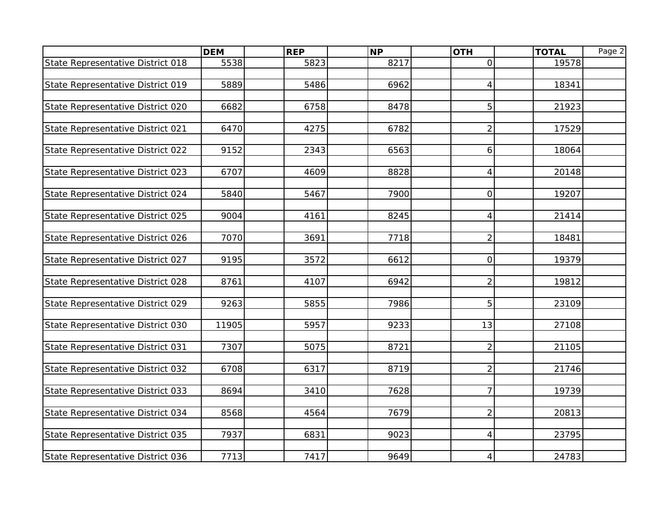|                                   | <b>DEM</b> | <b>REP</b> | <b>NP</b> | <b>OTH</b>     | <b>TOTAL</b> | Page 2 |
|-----------------------------------|------------|------------|-----------|----------------|--------------|--------|
| State Representative District 018 | 5538       | 5823       | 8217      | $\overline{O}$ | 19578        |        |
|                                   |            |            |           |                |              |        |
| State Representative District 019 | 5889       | 5486       | 6962      | $\overline{4}$ | 18341        |        |
|                                   |            |            |           |                |              |        |
| State Representative District 020 | 6682       | 6758       | 8478      | 5              | 21923        |        |
|                                   |            |            |           |                |              |        |
| State Representative District 021 | 6470       | 4275       | 6782      | $\overline{2}$ | 17529        |        |
| State Representative District 022 | 9152       | 2343       | 6563      | 6              | 18064        |        |
|                                   |            |            |           |                |              |        |
| State Representative District 023 | 6707       | 4609       | 8828      | $\overline{4}$ | 20148        |        |
|                                   |            |            |           |                |              |        |
| State Representative District 024 | 5840       | 5467       | 7900      | $\overline{O}$ | 19207        |        |
|                                   |            |            |           |                |              |        |
| State Representative District 025 | 9004       | 4161       | 8245      | $\overline{4}$ | 21414        |        |
|                                   |            |            |           |                |              |        |
| State Representative District 026 | 7070       | 3691       | 7718      | $\overline{2}$ | 18481        |        |
|                                   |            |            |           |                |              |        |
| State Representative District 027 | 9195       | 3572       | 6612      | $\overline{O}$ | 19379        |        |
| State Representative District 028 | 8761       | 4107       | 6942      | $\overline{2}$ | 19812        |        |
|                                   |            |            |           |                |              |        |
| State Representative District 029 | 9263       | 5855       | 7986      | 5              | 23109        |        |
|                                   |            |            |           |                |              |        |
| State Representative District 030 | 11905      | 5957       | 9233      | 13             | 27108        |        |
|                                   |            |            |           |                |              |        |
| State Representative District 031 | 7307       | 5075       | 8721      | $\overline{2}$ | 21105        |        |
|                                   |            |            |           |                |              |        |
| State Representative District 032 | 6708       | 6317       | 8719      | $\overline{2}$ | 21746        |        |
|                                   |            |            |           | $\overline{7}$ |              |        |
| State Representative District 033 | 8694       | 3410       | 7628      |                | 19739        |        |
| State Representative District 034 | 8568       | 4564       | 7679      | $\overline{2}$ | 20813        |        |
|                                   |            |            |           |                |              |        |
| State Representative District 035 | 7937       | 6831       | 9023      | $\overline{4}$ | 23795        |        |
|                                   |            |            |           |                |              |        |
| State Representative District 036 | 7713       | 7417       | 9649      | $\overline{4}$ | 24783        |        |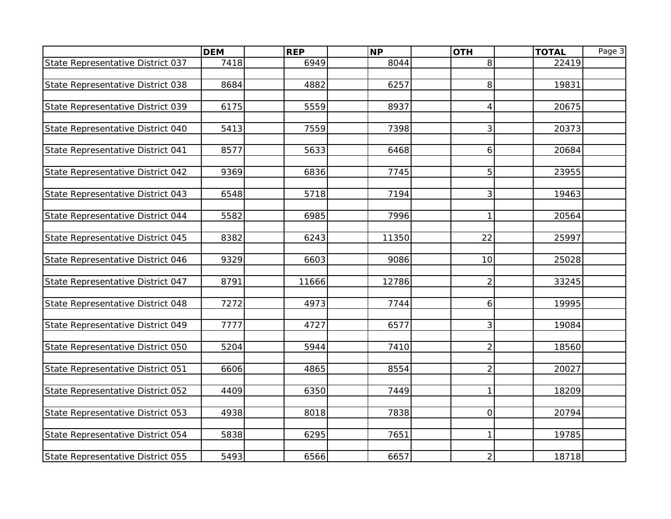|                                   | <b>DEM</b> | <b>REP</b> | <b>NP</b> | <b>OTH</b>     | <b>TOTAL</b> | Page 3 |
|-----------------------------------|------------|------------|-----------|----------------|--------------|--------|
| State Representative District 037 | 7418       | 6949       | 8044      | 8              | 22419        |        |
|                                   |            |            |           |                |              |        |
| State Representative District 038 | 8684       | 4882       | 6257      | 8              | 19831        |        |
|                                   |            |            |           |                |              |        |
| State Representative District 039 | 6175       | 5559       | 8937      | $\overline{4}$ | 20675        |        |
|                                   |            |            |           |                |              |        |
| State Representative District 040 | 5413       | 7559       | 7398      | $\mathbf{3}$   | 20373        |        |
|                                   | 8577       | 5633       | 6468      | 6              | 20684        |        |
| State Representative District 041 |            |            |           |                |              |        |
| State Representative District 042 | 9369       | 6836       | 7745      | 5              | 23955        |        |
|                                   |            |            |           |                |              |        |
| State Representative District 043 | 6548       | 5718       | 7194      | $\mathbf{3}$   | 19463        |        |
|                                   |            |            |           |                |              |        |
| State Representative District 044 | 5582       | 6985       | 7996      | $\mathbf{1}$   | 20564        |        |
|                                   |            |            |           |                |              |        |
| State Representative District 045 | 8382       | 6243       | 11350     | 22             | 25997        |        |
|                                   |            |            |           |                |              |        |
| State Representative District 046 | 9329       | 6603       | 9086      | 10             | 25028        |        |
|                                   | 8791       | 11666      | 12786     | $\overline{2}$ | 33245        |        |
| State Representative District 047 |            |            |           |                |              |        |
| State Representative District 048 | 7272       | 4973       | 7744      | $6 \mid$       | 19995        |        |
|                                   |            |            |           |                |              |        |
| State Representative District 049 | 7777       | 4727       | 6577      | $\mathbf{3}$   | 19084        |        |
|                                   |            |            |           |                |              |        |
| State Representative District 050 | 5204       | 5944       | 7410      | $\overline{2}$ | 18560        |        |
|                                   |            |            |           |                |              |        |
| State Representative District 051 | 6606       | 4865       | 8554      | $\overline{2}$ | 20027        |        |
|                                   |            |            |           |                |              |        |
| State Representative District 052 | 4409       | 6350       | 7449      | $\mathbf{1}$   | 18209        |        |
| State Representative District 053 | 4938       | 8018       | 7838      | $\overline{O}$ | 20794        |        |
|                                   |            |            |           |                |              |        |
| State Representative District 054 | 5838       | 6295       | 7651      | $\mathbf{1}$   | 19785        |        |
|                                   |            |            |           |                |              |        |
| State Representative District 055 | 5493       | 6566       | 6657      | 2 <sub>1</sub> | 18718        |        |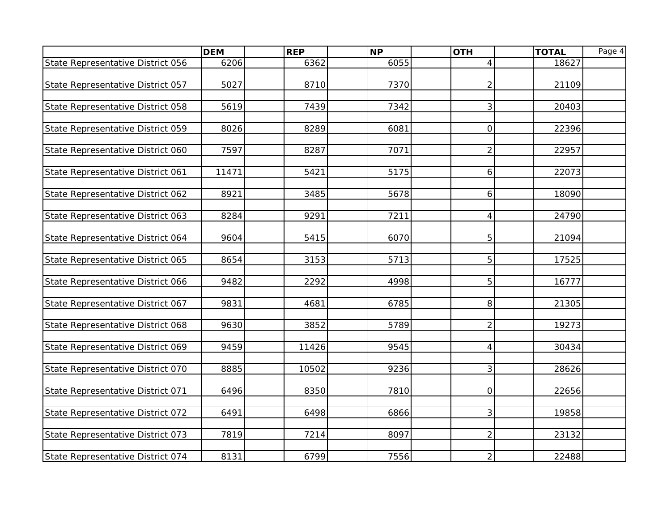|                                   | <b>DEM</b> | <b>REP</b> | <b>NP</b> | <b>OTH</b>     | <b>TOTAL</b> | Page 4 |
|-----------------------------------|------------|------------|-----------|----------------|--------------|--------|
| State Representative District 056 | 6206       | 6362       | 6055      | $\overline{4}$ | 18627        |        |
|                                   |            |            |           |                |              |        |
| State Representative District 057 | 5027       | 8710       | 7370      | $\overline{2}$ | 21109        |        |
|                                   |            |            |           |                |              |        |
| State Representative District 058 | 5619       | 7439       | 7342      | $\overline{3}$ | 20403        |        |
|                                   |            |            |           |                |              |        |
| State Representative District 059 | 8026       | 8289       | 6081      | $\overline{O}$ | 22396        |        |
| State Representative District 060 | 7597       | 8287       | 7071      | $\overline{2}$ | 22957        |        |
|                                   |            |            |           |                |              |        |
| State Representative District 061 | 11471      | 5421       | 5175      | 6              | 22073        |        |
|                                   |            |            |           |                |              |        |
| State Representative District 062 | 8921       | 3485       | 5678      | 6              | 18090        |        |
|                                   |            |            |           |                |              |        |
| State Representative District 063 | 8284       | 9291       | 7211      | $\vert$        | 24790        |        |
|                                   |            |            |           |                |              |        |
| State Representative District 064 | 9604       | 5415       | 6070      | 5              | 21094        |        |
|                                   | 8654       | 3153       | 5713      | 5              | 17525        |        |
| State Representative District 065 |            |            |           |                |              |        |
| State Representative District 066 | 9482       | 2292       | 4998      | 5              | 16777        |        |
|                                   |            |            |           |                |              |        |
| State Representative District 067 | 9831       | 4681       | 6785      | 8              | 21305        |        |
|                                   |            |            |           |                |              |        |
| State Representative District 068 | 9630       | 3852       | 5789      | $\overline{2}$ | 19273        |        |
|                                   |            |            |           |                |              |        |
| State Representative District 069 | 9459       | 11426      | 9545      | $\overline{4}$ | 30434        |        |
|                                   |            |            |           |                |              |        |
| State Representative District 070 | 8885       | 10502      | 9236      | 3              | 28626        |        |
| State Representative District 071 | 6496       | 8350       | 7810      | $\overline{O}$ | 22656        |        |
|                                   |            |            |           |                |              |        |
| State Representative District 072 | 6491       | 6498       | 6866      | 3              | 19858        |        |
|                                   |            |            |           |                |              |        |
| State Representative District 073 | 7819       | 7214       | 8097      | $\overline{2}$ | 23132        |        |
|                                   |            |            |           |                |              |        |
| State Representative District 074 | 8131       | 6799       | 7556      | $\overline{2}$ | 22488        |        |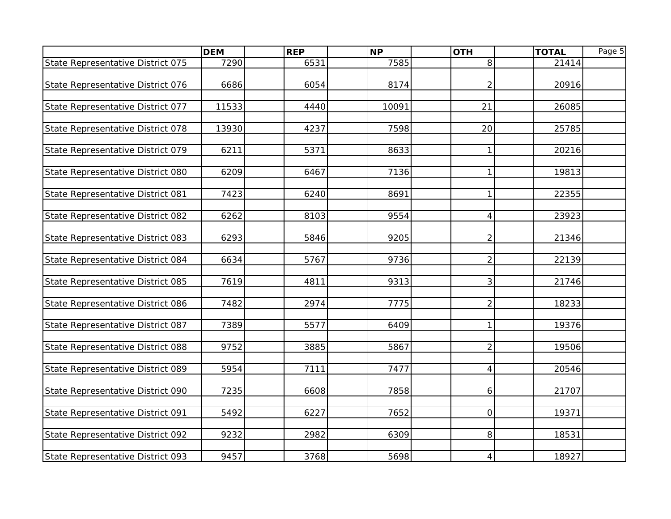|                                   | <b>DEM</b> | <b>REP</b> | <b>NP</b> | <b>OTH</b>     | <b>TOTAL</b> | Page 5 |
|-----------------------------------|------------|------------|-----------|----------------|--------------|--------|
| State Representative District 075 | 7290       | 6531       | 7585      | 8              | 21414        |        |
|                                   |            |            |           |                |              |        |
| State Representative District 076 | 6686       | 6054       | 8174      | $\overline{2}$ | 20916        |        |
|                                   |            |            |           |                |              |        |
| State Representative District 077 | 11533      | 4440       | 10091     | 21             | 26085        |        |
| State Representative District 078 | 13930      | 4237       | 7598      | 20             | 25785        |        |
|                                   |            |            |           |                |              |        |
| State Representative District 079 | 6211       | 5371       | 8633      | $\mathbf{1}$   | 20216        |        |
|                                   |            |            |           |                |              |        |
| State Representative District 080 | 6209       | 6467       | 7136      | $\mathbf{1}$   | 19813        |        |
|                                   |            |            |           |                |              |        |
| State Representative District 081 | 7423       | 6240       | 8691      | $\mathbf{1}$   | 22355        |        |
|                                   |            |            |           |                |              |        |
| State Representative District 082 | 6262       | 8103       | 9554      | $\overline{4}$ | 23923        |        |
|                                   |            |            |           |                |              |        |
| State Representative District 083 | 6293       | 5846       | 9205      | $\overline{2}$ | 21346        |        |
| State Representative District 084 | 6634       | 5767       | 9736      | $\overline{2}$ | 22139        |        |
|                                   |            |            |           |                |              |        |
| State Representative District 085 | 7619       | 4811       | 9313      | 3              | 21746        |        |
|                                   |            |            |           |                |              |        |
| State Representative District 086 | 7482       | 2974       | 7775      | $\overline{2}$ | 18233        |        |
|                                   |            |            |           |                |              |        |
| State Representative District 087 | 7389       | 5577       | 6409      | $\mathbf{1}$   | 19376        |        |
|                                   |            |            |           |                |              |        |
| State Representative District 088 | 9752       | 3885       | 5867      | $\overline{2}$ | 19506        |        |
| State Representative District 089 | 5954       | 7111       | 7477      | $\overline{4}$ | 20546        |        |
|                                   |            |            |           |                |              |        |
| State Representative District 090 | 7235       | 6608       | 7858      | 6              | 21707        |        |
|                                   |            |            |           |                |              |        |
| State Representative District 091 | 5492       | 6227       | 7652      | $\overline{O}$ | 19371        |        |
|                                   |            |            |           |                |              |        |
| State Representative District 092 | 9232       | 2982       | 6309      | 8 <sup>1</sup> | 18531        |        |
|                                   |            |            |           |                |              |        |
| State Representative District 093 | 9457       | 3768       | 5698      | $\overline{4}$ | 18927        |        |